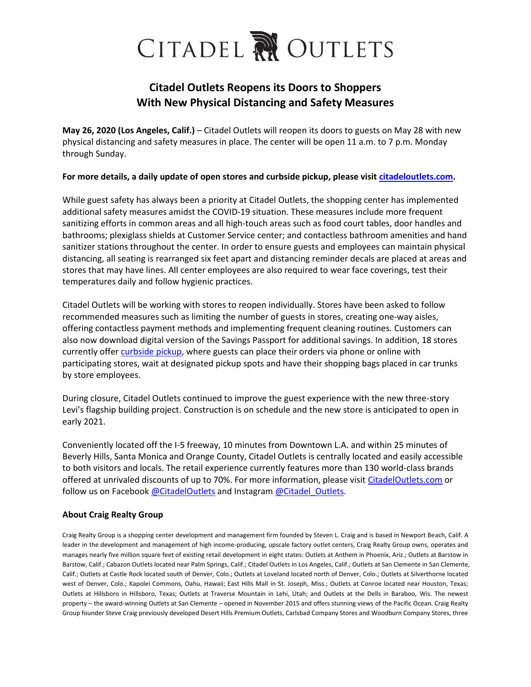## CITADEL NOUTLETS

## **Citadel Outlets Reopens its Doors to Shoppers With New Physical Distancing and Safety Measures**

**May 26, 2020 (Los Angeles, Calif.)** – Citadel Outlets will reopen its doors to guests on May 28 with new physical distancing and safety measures in place. The center will be open 11 a.m. to 7 p.m. Monday through Sunday.

## **For more details, a daily update of open stores and curbside pickup, please visit [citadeloutlets.com.](http://www.citadeloutlets.com/)**

While guest safety has always been a priority at Citadel Outlets, the shopping center has implemented additional safety measures amidst the COVID-19 situation. These measures include more frequent sanitizing efforts in common areas and all high-touch areas such as food court tables, door handles and bathrooms; plexiglass shields at Customer Service center; and contactless bathroom amenities and hand sanitizer stations throughout the center. In order to ensure guests and employees can maintain physical distancing, all seating is rearranged six feet apart and distancing reminder decals are placed at areas and stores that may have lines. All center employees are also required to wear face coverings, test their temperatures daily and follow hygienic practices.

Citadel Outlets will be working with stores to reopen individually. Stores have been asked to follow recommended measures such as limiting the number of guests in stores, creating one-way aisles, offering contactless payment methods and implementing frequent cleaning routines. Customers can also now download digital version of the Savings Passport for additional savings. In addition, 18 stores currently offer [curbside pickup,](https://www.citadeloutlets.com/news/Curbside-Service/2130006037/) where guests can place their orders via phone or online with participating stores, wait at designated pickup spots and have their shopping bags placed in car trunks by store employees.

During closure, Citadel Outlets continued to improve the guest experience with the new three-story Levi's flagship building project. Construction is on schedule and the new store is anticipated to open in early 2021.

Conveniently located off the I-5 freeway, 10 minutes from Downtown L.A. and within 25 minutes of Beverly Hills, Santa Monica and Orange County, Citadel Outlets is centrally located and easily accessible to both visitors and locals. The retail experience currently features more than 130 world-class brands offered at unrivaled discounts of up to 70%. For more information, please visit [CitadelOutlets.com](https://www.citadeloutlets.com/) or follow us on Facebook [@CitadelOutlets](http://www.facebook.com/CitadelOutlets) and Instagram [@Citadel\\_Outlets.](http://www.instagram.com/citadel_outlets)

## **About Craig Realty Group**

Craig Realty Group is a shopping center development and management firm founded by Steven L. Craig and is based in Newport Beach, Calif. A leader in the development and management of high income-producing, upscale factory outlet centers, Craig Realty Group owns, operates and manages nearly five million square feet of existing retail development in eight states: Outlets at Anthem in Phoenix, Ariz.; Outlets at Barstow in Barstow, Calif.; Cabazon Outlets located near Palm Springs, Calif.; Citadel Outlets in Los Angeles, Calif.; Outlets at San Clemente in San Clemente, Calif.; Outlets at Castle Rock located south of Denver, Colo.; Outlets at Loveland located north of Denver, Colo.; Outlets at Silverthorne located west of Denver, Colo.; Kapolei Commons, Oahu, Hawaii; East Hills Mall in St. Joseph, Miss.; Outlets at Conroe located near Houston, Texas; Outlets at Hillsboro in Hillsboro, Texas; Outlets at Traverse Mountain in Lehi, Utah; and Outlets at the Dells in Baraboo, Wis. The newest property – the award-winning Outlets at San Clemente – opened in November 2015 and offers stunning views of the Pacific Ocean. Craig Realty Group founder Steve Craig previously developed Desert Hills Premium Outlets, Carlsbad Company Stores and Woodburn Company Stores, three